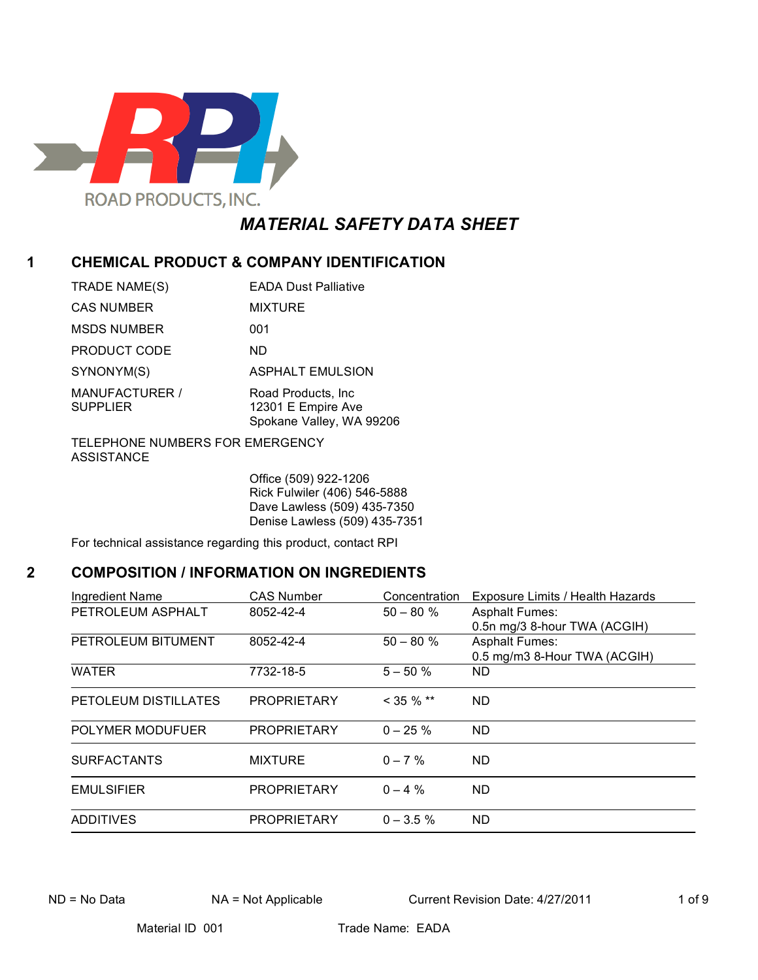

# *MATERIAL SAFETY DATA SHEET*

# **1 CHEMICAL PRODUCT & COMPANY IDENTIFICATION**

| <b>EADA Dust Palliative</b>                                           |
|-----------------------------------------------------------------------|
| <b>MIXTURE</b>                                                        |
| 001                                                                   |
| ND.                                                                   |
| <b>ASPHALT EMULSION</b>                                               |
| Road Products, Inc.<br>12301 E Empire Ave<br>Spokane Valley, WA 99206 |
|                                                                       |

TELEPHONE NUMBERS FOR EMERGENCY ASSISTANCE

> Office (509) 922-1206 Rick Fulwiler (406) 546-5888 Dave Lawless (509) 435-7350 Denise Lawless (509) 435-7351

For technical assistance regarding this product, contact RPI

# **2 COMPOSITION / INFORMATION ON INGREDIENTS**

| Ingredient Name      | <b>CAS Number</b>  | Concentration | Exposure Limits / Health Hazards |
|----------------------|--------------------|---------------|----------------------------------|
| PETROLEUM ASPHALT    | 8052-42-4          | $50 - 80 \%$  | <b>Asphalt Fumes:</b>            |
|                      |                    |               | 0.5n mg/3 8-hour TWA (ACGIH)     |
| PETROLEUM BITUMENT   | 8052-42-4          | $50 - 80 \%$  | <b>Asphalt Fumes:</b>            |
|                      |                    |               | 0.5 mg/m3 8-Hour TWA (ACGIH)     |
| <b>WATER</b>         | 7732-18-5          | $5 - 50 \%$   | ND.                              |
| PETOLEUM DISTILLATES | <b>PROPRIETARY</b> | $<$ 35 % $**$ | ND.                              |
| POLYMER MODUFUER     | <b>PROPRIETARY</b> | $0 - 25 \%$   | ND                               |
| <b>SURFACTANTS</b>   | <b>MIXTURE</b>     | $0 - 7\%$     | ND.                              |
| <b>EMULSIFIER</b>    | <b>PROPRIETARY</b> | $0 - 4\%$     | ND.                              |
| <b>ADDITIVES</b>     | <b>PROPRIETARY</b> | $0 - 3.5 \%$  | ND                               |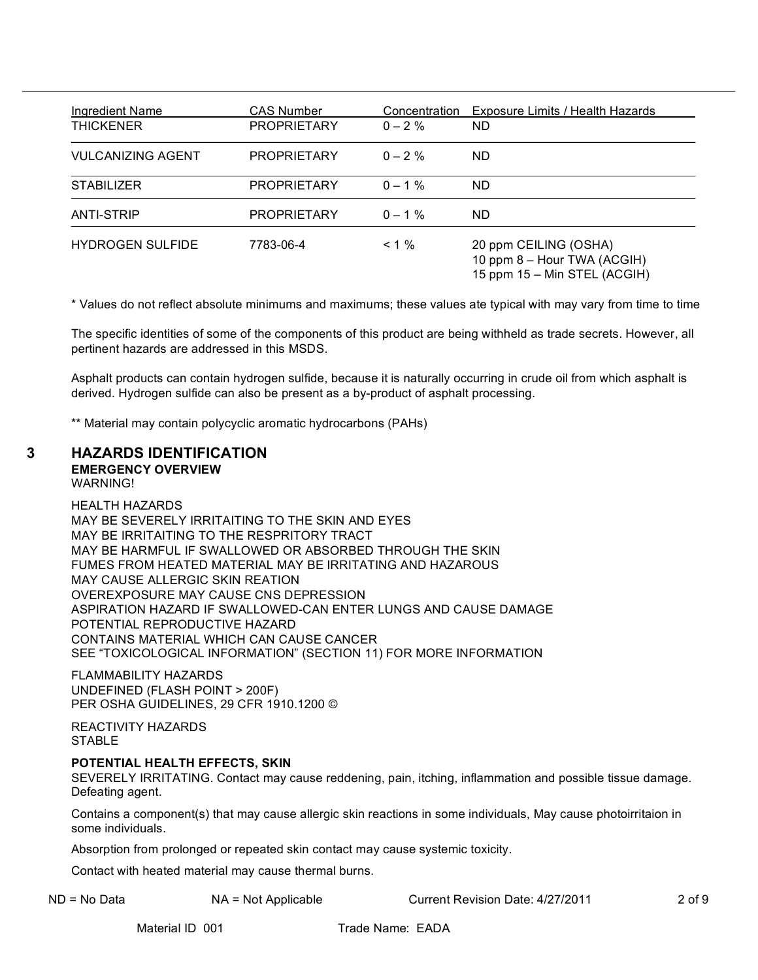| Ingredient Name<br><b>THICKENER</b> | <b>CAS Number</b><br><b>PROPRIETARY</b> | Concentration<br>$0 - 2\%$ | Exposure Limits / Health Hazards<br><b>ND</b>                                        |
|-------------------------------------|-----------------------------------------|----------------------------|--------------------------------------------------------------------------------------|
| <b>VULCANIZING AGENT</b>            | <b>PROPRIETARY</b>                      | $0 - 2\%$                  | <b>ND</b>                                                                            |
| <b>STABILIZER</b>                   | <b>PROPRIETARY</b>                      | $0 - 1\%$                  | ND.                                                                                  |
| <b>ANTI-STRIP</b>                   | <b>PROPRIETARY</b>                      | $0 - 1\%$                  | ND.                                                                                  |
| <b>HYDROGEN SULFIDE</b>             | 7783-06-4                               | $< 1\%$                    | 20 ppm CEILING (OSHA)<br>10 ppm 8 - Hour TWA (ACGIH)<br>15 ppm 15 - Min STEL (ACGIH) |

\* Values do not reflect absolute minimums and maximums; these values ate typical with may vary from time to time

The specific identities of some of the components of this product are being withheld as trade secrets. However, all pertinent hazards are addressed in this MSDS.

Asphalt products can contain hydrogen sulfide, because it is naturally occurring in crude oil from which asphalt is derived. Hydrogen sulfide can also be present as a by-product of asphalt processing.

\*\* Material may contain polycyclic aromatic hydrocarbons (PAHs)

# **3 HAZARDS IDENTIFICATION**

**EMERGENCY OVERVIEW**

WARNING!

HEALTH HAZARDS MAY BE SEVERELY IRRITAITING TO THE SKIN AND EYES MAY BE IRRITAITING TO THE RESPRITORY TRACT MAY BE HARMFUL IF SWALLOWED OR ABSORBED THROUGH THE SKIN FUMES FROM HEATED MATERIAL MAY BE IRRITATING AND HAZAROUS MAY CAUSE ALLERGIC SKIN REATION OVEREXPOSURE MAY CAUSE CNS DEPRESSION ASPIRATION HAZARD IF SWALLOWED-CAN ENTER LUNGS AND CAUSE DAMAGE POTENTIAL REPRODUCTIVE HAZARD CONTAINS MATERIAL WHICH CAN CAUSE CANCER SEE "TOXICOLOGICAL INFORMATION" (SECTION 11) FOR MORE INFORMATION

FLAMMABILITY HAZARDS UNDEFINED (FLASH POINT > 200F) PER OSHA GUIDELINES, 29 CFR 1910.1200 ©

REACTIVITY HAZARDS **STABLE** 

### **POTENTIAL HEALTH EFFECTS, SKIN**

SEVERELY IRRITATING. Contact may cause reddening, pain, itching, inflammation and possible tissue damage. Defeating agent.

Contains a component(s) that may cause allergic skin reactions in some individuals, May cause photoirritaion in some individuals.

Absorption from prolonged or repeated skin contact may cause systemic toxicity.

Contact with heated material may cause thermal burns.

ND = No Data NA = Not Applicable Current Revision Date: 4/27/2011 2 of 9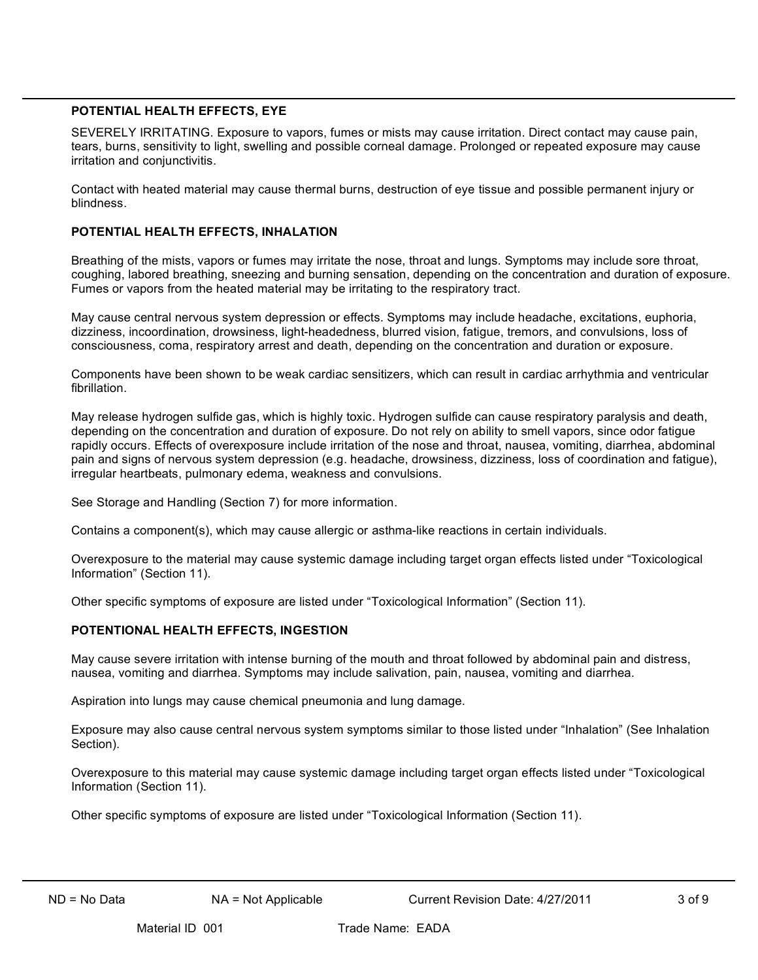#### **POTENTIAL HEALTH EFFECTS, EYE**

SEVERELY IRRITATING. Exposure to vapors, fumes or mists may cause irritation. Direct contact may cause pain, tears, burns, sensitivity to light, swelling and possible corneal damage. Prolonged or repeated exposure may cause irritation and conjunctivitis.

Contact with heated material may cause thermal burns, destruction of eye tissue and possible permanent injury or blindness.

#### **POTENTIAL HEALTH EFFECTS, INHALATION**

Breathing of the mists, vapors or fumes may irritate the nose, throat and lungs. Symptoms may include sore throat, coughing, labored breathing, sneezing and burning sensation, depending on the concentration and duration of exposure. Fumes or vapors from the heated material may be irritating to the respiratory tract.

May cause central nervous system depression or effects. Symptoms may include headache, excitations, euphoria, dizziness, incoordination, drowsiness, light-headedness, blurred vision, fatigue, tremors, and convulsions, loss of consciousness, coma, respiratory arrest and death, depending on the concentration and duration or exposure.

Components have been shown to be weak cardiac sensitizers, which can result in cardiac arrhythmia and ventricular fibrillation.

May release hydrogen sulfide gas, which is highly toxic. Hydrogen sulfide can cause respiratory paralysis and death, depending on the concentration and duration of exposure. Do not rely on ability to smell vapors, since odor fatigue rapidly occurs. Effects of overexposure include irritation of the nose and throat, nausea, vomiting, diarrhea, abdominal pain and signs of nervous system depression (e.g. headache, drowsiness, dizziness, loss of coordination and fatigue), irregular heartbeats, pulmonary edema, weakness and convulsions.

See Storage and Handling (Section 7) for more information.

Contains a component(s), which may cause allergic or asthma-like reactions in certain individuals.

Overexposure to the material may cause systemic damage including target organ effects listed under "Toxicological Information" (Section 11).

Other specific symptoms of exposure are listed under "Toxicological Information" (Section 11).

### **POTENTIONAL HEALTH EFFECTS, INGESTION**

May cause severe irritation with intense burning of the mouth and throat followed by abdominal pain and distress, nausea, vomiting and diarrhea. Symptoms may include salivation, pain, nausea, vomiting and diarrhea.

Aspiration into lungs may cause chemical pneumonia and lung damage.

Exposure may also cause central nervous system symptoms similar to those listed under "Inhalation" (See Inhalation Section).

Overexposure to this material may cause systemic damage including target organ effects listed under "Toxicological Information (Section 11).

Other specific symptoms of exposure are listed under "Toxicological Information (Section 11).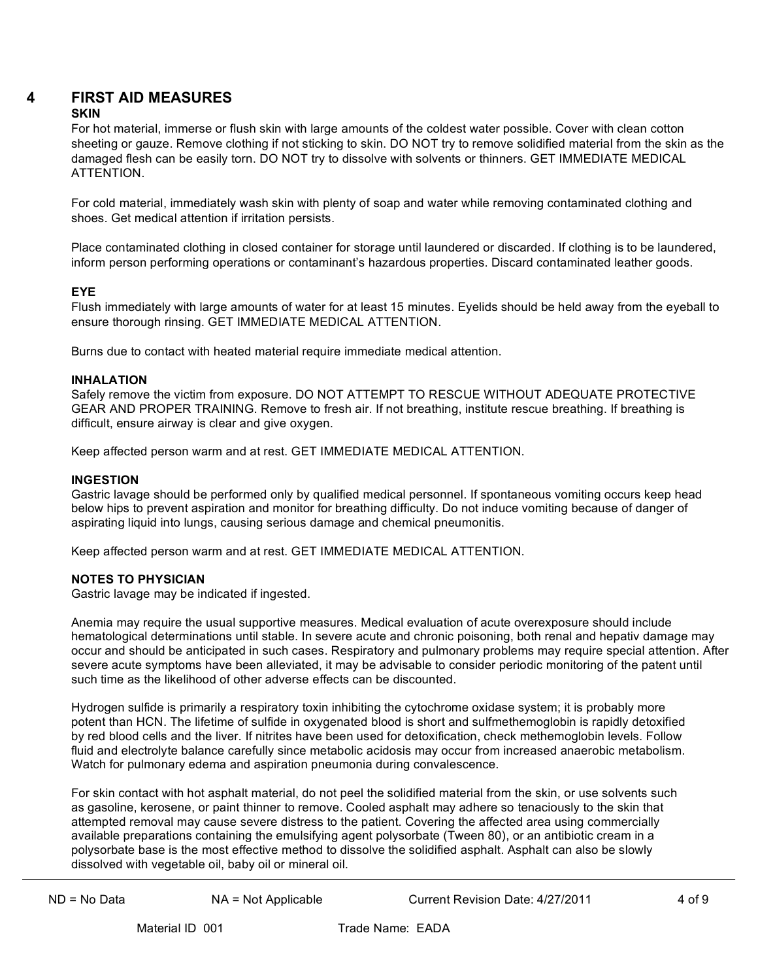# **4 FIRST AID MEASURES**

## **SKIN**

For hot material, immerse or flush skin with large amounts of the coldest water possible. Cover with clean cotton sheeting or gauze. Remove clothing if not sticking to skin. DO NOT try to remove solidified material from the skin as the damaged flesh can be easily torn. DO NOT try to dissolve with solvents or thinners. GET IMMEDIATE MEDICAL **ATTENTION** 

For cold material, immediately wash skin with plenty of soap and water while removing contaminated clothing and shoes. Get medical attention if irritation persists.

Place contaminated clothing in closed container for storage until laundered or discarded. If clothing is to be laundered, inform person performing operations or contaminant's hazardous properties. Discard contaminated leather goods.

#### **EYE**

Flush immediately with large amounts of water for at least 15 minutes. Eyelids should be held away from the eyeball to ensure thorough rinsing. GET IMMEDIATE MEDICAL ATTENTION.

Burns due to contact with heated material require immediate medical attention.

#### **INHALATION**

Safely remove the victim from exposure. DO NOT ATTEMPT TO RESCUE WITHOUT ADEQUATE PROTECTIVE GEAR AND PROPER TRAINING. Remove to fresh air. If not breathing, institute rescue breathing. If breathing is difficult, ensure airway is clear and give oxygen.

Keep affected person warm and at rest. GET IMMEDIATE MEDICAL ATTENTION.

#### **INGESTION**

Gastric lavage should be performed only by qualified medical personnel. If spontaneous vomiting occurs keep head below hips to prevent aspiration and monitor for breathing difficulty. Do not induce vomiting because of danger of aspirating liquid into lungs, causing serious damage and chemical pneumonitis.

Keep affected person warm and at rest. GET IMMEDIATE MEDICAL ATTENTION.

### **NOTES TO PHYSICIAN**

Gastric lavage may be indicated if ingested.

Anemia may require the usual supportive measures. Medical evaluation of acute overexposure should include hematological determinations until stable. In severe acute and chronic poisoning, both renal and hepativ damage may occur and should be anticipated in such cases. Respiratory and pulmonary problems may require special attention. After severe acute symptoms have been alleviated, it may be advisable to consider periodic monitoring of the patent until such time as the likelihood of other adverse effects can be discounted.

Hydrogen sulfide is primarily a respiratory toxin inhibiting the cytochrome oxidase system; it is probably more potent than HCN. The lifetime of sulfide in oxygenated blood is short and sulfmethemoglobin is rapidly detoxified by red blood cells and the liver. If nitrites have been used for detoxification, check methemoglobin levels. Follow fluid and electrolyte balance carefully since metabolic acidosis may occur from increased anaerobic metabolism. Watch for pulmonary edema and aspiration pneumonia during convalescence.

For skin contact with hot asphalt material, do not peel the solidified material from the skin, or use solvents such as gasoline, kerosene, or paint thinner to remove. Cooled asphalt may adhere so tenaciously to the skin that attempted removal may cause severe distress to the patient. Covering the affected area using commercially available preparations containing the emulsifying agent polysorbate (Tween 80), or an antibiotic cream in a polysorbate base is the most effective method to dissolve the solidified asphalt. Asphalt can also be slowly dissolved with vegetable oil, baby oil or mineral oil.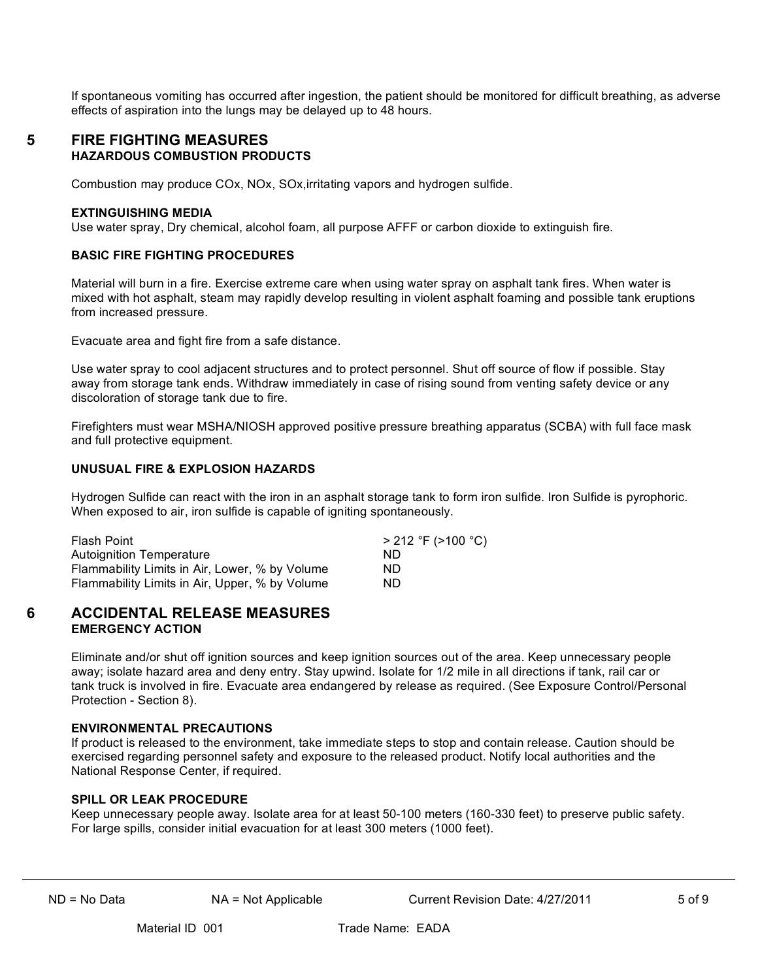If spontaneous vomiting has occurred after ingestion, the patient should be monitored for difficult breathing, as adverse effects of aspiration into the lungs may be delayed up to 48 hours.

## **5 FIRE FIGHTING MEASURES HAZARDOUS COMBUSTION PRODUCTS**

Combustion may produce COx, NOx, SOx,irritating vapors and hydrogen sulfide.

#### **EXTINGUISHING MEDIA**

Use water spray, Dry chemical, alcohol foam, all purpose AFFF or carbon dioxide to extinguish fire.

#### **BASIC FIRE FIGHTING PROCEDURES**

Material will burn in a fire. Exercise extreme care when using water spray on asphalt tank fires. When water is mixed with hot asphalt, steam may rapidly develop resulting in violent asphalt foaming and possible tank eruptions from increased pressure.

Evacuate area and fight fire from a safe distance.

Use water spray to cool adjacent structures and to protect personnel. Shut off source of flow if possible. Stay away from storage tank ends. Withdraw immediately in case of rising sound from venting safety device or any discoloration of storage tank due to fire.

Firefighters must wear MSHA/NIOSH approved positive pressure breathing apparatus (SCBA) with full face mask and full protective equipment.

### **UNUSUAL FIRE & EXPLOSION HAZARDS**

Hydrogen Sulfide can react with the iron in an asphalt storage tank to form iron sulfide. Iron Sulfide is pyrophoric. When exposed to air, iron sulfide is capable of igniting spontaneously.

| Flash Point                                    | > 212 °F (>100 °C) |
|------------------------------------------------|--------------------|
| Autoignition Temperature                       | ND.                |
| Flammability Limits in Air, Lower, % by Volume | ND.                |
| Flammability Limits in Air, Upper, % by Volume | ND.                |

### **6 ACCIDENTAL RELEASE MEASURES EMERGENCY ACTION**

Eliminate and/or shut off ignition sources and keep ignition sources out of the area. Keep unnecessary people away; isolate hazard area and deny entry. Stay upwind. Isolate for 1/2 mile in all directions if tank, rail car or tank truck is involved in fire. Evacuate area endangered by release as required. (See Exposure Control/Personal Protection - Section 8).

#### **ENVIRONMENTAL PRECAUTIONS**

If product is released to the environment, take immediate steps to stop and contain release. Caution should be exercised regarding personnel safety and exposure to the released product. Notify local authorities and the National Response Center, if required.

### **SPILL OR LEAK PROCEDURE**

Keep unnecessary people away. Isolate area for at least 50-100 meters (160-330 feet) to preserve public safety. For large spills, consider initial evacuation for at least 300 meters (1000 feet).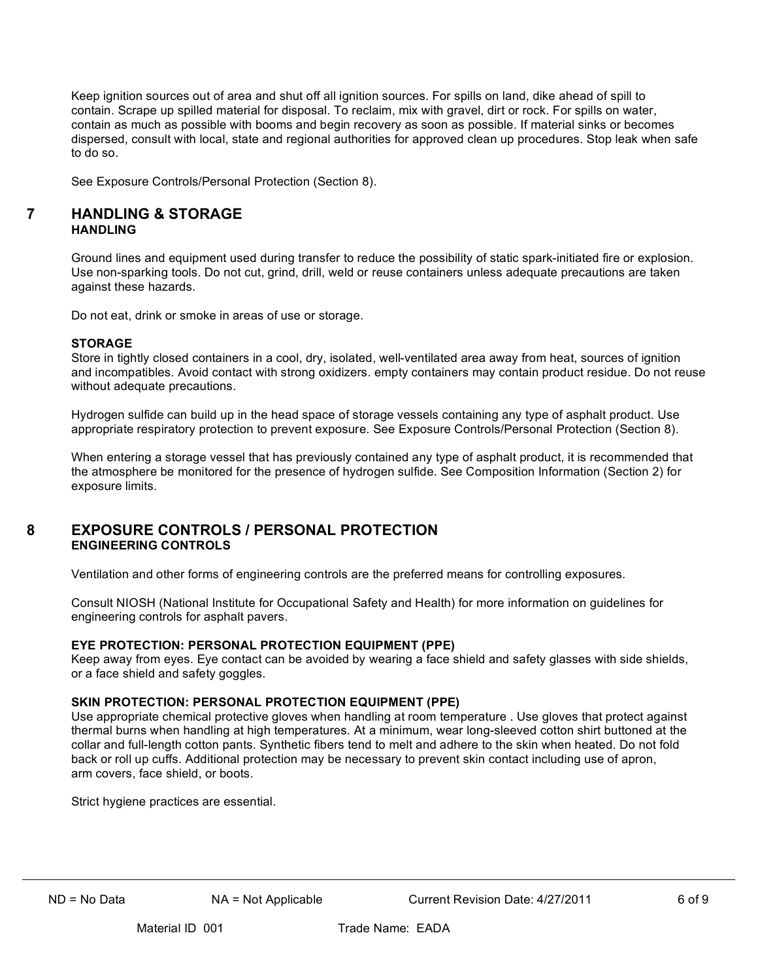Keep ignition sources out of area and shut off all ignition sources. For spills on land, dike ahead of spill to contain. Scrape up spilled material for disposal. To reclaim, mix with gravel, dirt or rock. For spills on water, contain as much as possible with booms and begin recovery as soon as possible. If material sinks or becomes dispersed, consult with local, state and regional authorities for approved clean up procedures. Stop leak when safe to do so.

See Exposure Controls/Personal Protection (Section 8).

## **7 HANDLING & STORAGE HANDLING**

Ground lines and equipment used during transfer to reduce the possibility of static spark-initiated fire or explosion. Use non-sparking tools. Do not cut, grind, drill, weld or reuse containers unless adequate precautions are taken against these hazards.

Do not eat, drink or smoke in areas of use or storage.

### **STORAGE**

Store in tightly closed containers in a cool, dry, isolated, well-ventilated area away from heat, sources of ignition and incompatibles. Avoid contact with strong oxidizers. empty containers may contain product residue. Do not reuse without adequate precautions.

Hydrogen sulfide can build up in the head space of storage vessels containing any type of asphalt product. Use appropriate respiratory protection to prevent exposure. See Exposure Controls/Personal Protection (Section 8).

When entering a storage vessel that has previously contained any type of asphalt product, it is recommended that the atmosphere be monitored for the presence of hydrogen sulfide. See Composition Information (Section 2) for exposure limits.

# **8 EXPOSURE CONTROLS / PERSONAL PROTECTION ENGINEERING CONTROLS**

Ventilation and other forms of engineering controls are the preferred means for controlling exposures.

Consult NIOSH (National Institute for Occupational Safety and Health) for more information on guidelines for engineering controls for asphalt pavers.

### **EYE PROTECTION: PERSONAL PROTECTION EQUIPMENT (PPE)**

Keep away from eyes. Eye contact can be avoided by wearing a face shield and safety glasses with side shields, or a face shield and safety goggles.

### **SKIN PROTECTION: PERSONAL PROTECTION EQUIPMENT (PPE)**

Use appropriate chemical protective gloves when handling at room temperature . Use gloves that protect against thermal burns when handling at high temperatures. At a minimum, wear long-sleeved cotton shirt buttoned at the collar and full-length cotton pants. Synthetic fibers tend to melt and adhere to the skin when heated. Do not fold back or roll up cuffs. Additional protection may be necessary to prevent skin contact including use of apron, arm covers, face shield, or boots.

Strict hygiene practices are essential.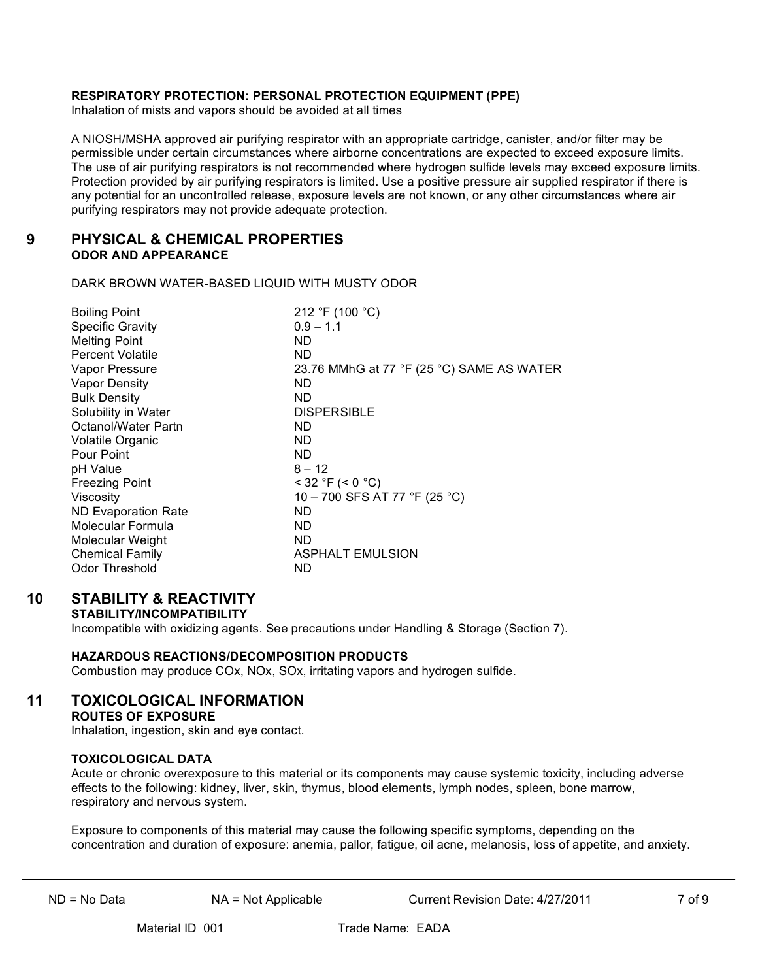### **RESPIRATORY PROTECTION: PERSONAL PROTECTION EQUIPMENT (PPE)**

Inhalation of mists and vapors should be avoided at all times

A NIOSH/MSHA approved air purifying respirator with an appropriate cartridge, canister, and/or filter may be permissible under certain circumstances where airborne concentrations are expected to exceed exposure limits. The use of air purifying respirators is not recommended where hydrogen sulfide levels may exceed exposure limits. Protection provided by air purifying respirators is limited. Use a positive pressure air supplied respirator if there is any potential for an uncontrolled release, exposure levels are not known, or any other circumstances where air purifying respirators may not provide adequate protection.

## **9 PHYSICAL & CHEMICAL PROPERTIES ODOR AND APPEARANCE**

DARK BROWN WATER-BASED LIQUID WITH MUSTY ODOR

| 212 °F (100 °C)                           |
|-------------------------------------------|
| $0.9 - 1.1$                               |
| ND.                                       |
| ND.                                       |
| 23.76 MMhG at 77 °F (25 °C) SAME AS WATER |
| ND.                                       |
| ND.                                       |
| <b>DISPERSIBLE</b>                        |
| ND.                                       |
| ND.                                       |
| ND.                                       |
| $8 - 12$                                  |
| $<$ 32 °F (< 0 °C)                        |
| 10 - 700 SFS AT 77 °F (25 °C)             |
| ND.                                       |
| ND.                                       |
| ND.                                       |
| <b>ASPHALT EMULSION</b>                   |
| ND                                        |
|                                           |

# **10 STABILITY & REACTIVITY**

### **STABILITY/INCOMPATIBILITY**

Incompatible with oxidizing agents. See precautions under Handling & Storage (Section 7).

### **HAZARDOUS REACTIONS/DECOMPOSITION PRODUCTS**

Combustion may produce COx, NOx, SOx, irritating vapors and hydrogen sulfide.

# **11 TOXICOLOGICAL INFORMATION**

**ROUTES OF EXPOSURE**

Inhalation, ingestion, skin and eye contact.

#### **TOXICOLOGICAL DATA**

Acute or chronic overexposure to this material or its components may cause systemic toxicity, including adverse effects to the following: kidney, liver, skin, thymus, blood elements, lymph nodes, spleen, bone marrow, respiratory and nervous system.

Exposure to components of this material may cause the following specific symptoms, depending on the concentration and duration of exposure: anemia, pallor, fatigue, oil acne, melanosis, loss of appetite, and anxiety.

ND = No Data **NA = Not Applicable** Current Revision Date: 4/27/2011 7 of 9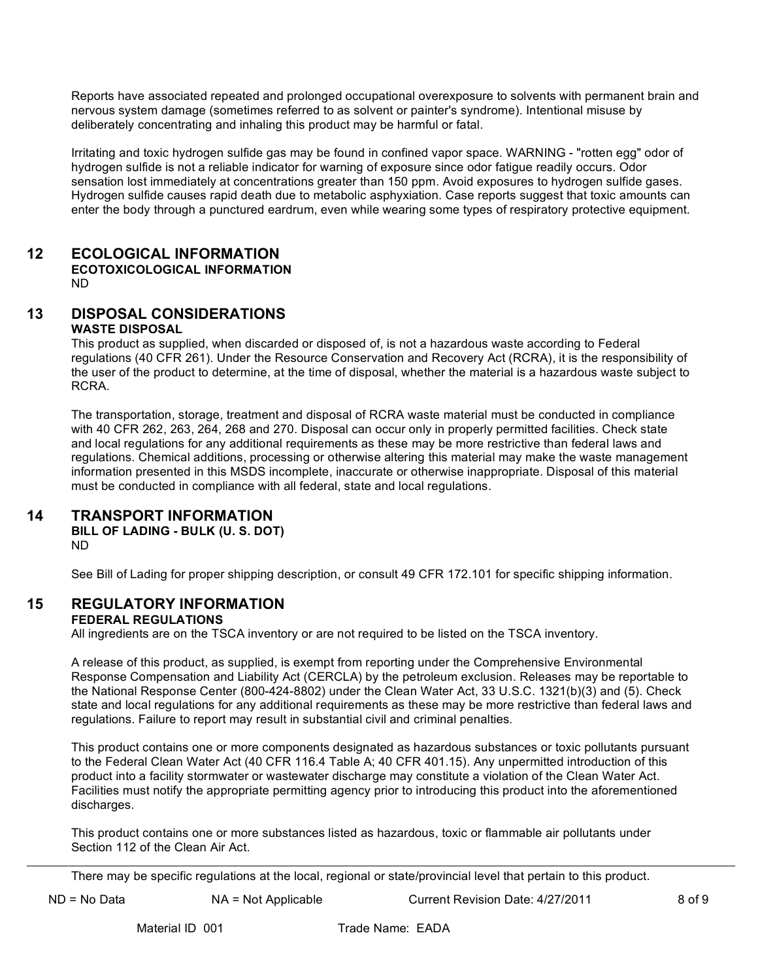Reports have associated repeated and prolonged occupational overexposure to solvents with permanent brain and nervous system damage (sometimes referred to as solvent or painter's syndrome). Intentional misuse by deliberately concentrating and inhaling this product may be harmful or fatal.

Irritating and toxic hydrogen sulfide gas may be found in confined vapor space. WARNING - "rotten egg" odor of hydrogen sulfide is not a reliable indicator for warning of exposure since odor fatigue readily occurs. Odor sensation lost immediately at concentrations greater than 150 ppm. Avoid exposures to hydrogen sulfide gases. Hydrogen sulfide causes rapid death due to metabolic asphyxiation. Case reports suggest that toxic amounts can enter the body through a punctured eardrum, even while wearing some types of respiratory protective equipment.

# **12 ECOLOGICAL INFORMATION**

**ECOTOXICOLOGICAL INFORMATION** ND

## **13 DISPOSAL CONSIDERATIONS WASTE DISPOSAL**

This product as supplied, when discarded or disposed of, is not a hazardous waste according to Federal regulations (40 CFR 261). Under the Resource Conservation and Recovery Act (RCRA), it is the responsibility of the user of the product to determine, at the time of disposal, whether the material is a hazardous waste subject to RCRA.

The transportation, storage, treatment and disposal of RCRA waste material must be conducted in compliance with 40 CFR 262, 263, 264, 268 and 270. Disposal can occur only in properly permitted facilities. Check state and local regulations for any additional requirements as these may be more restrictive than federal laws and regulations. Chemical additions, processing or otherwise altering this material may make the waste management information presented in this MSDS incomplete, inaccurate or otherwise inappropriate. Disposal of this material must be conducted in compliance with all federal, state and local regulations.

# **14 TRANSPORT INFORMATION**

**BILL OF LADING - BULK (U. S. DOT)**

ND

See Bill of Lading for proper shipping description, or consult 49 CFR 172.101 for specific shipping information.

# **15 REGULATORY INFORMATION**

### **FEDERAL REGULATIONS**

All ingredients are on the TSCA inventory or are not required to be listed on the TSCA inventory.

A release of this product, as supplied, is exempt from reporting under the Comprehensive Environmental Response Compensation and Liability Act (CERCLA) by the petroleum exclusion. Releases may be reportable to the National Response Center (800-424-8802) under the Clean Water Act, 33 U.S.C. 1321(b)(3) and (5). Check state and local regulations for any additional requirements as these may be more restrictive than federal laws and regulations. Failure to report may result in substantial civil and criminal penalties.

This product contains one or more components designated as hazardous substances or toxic pollutants pursuant to the Federal Clean Water Act (40 CFR 116.4 Table A; 40 CFR 401.15). Any unpermitted introduction of this product into a facility stormwater or wastewater discharge may constitute a violation of the Clean Water Act. Facilities must notify the appropriate permitting agency prior to introducing this product into the aforementioned discharges.

This product contains one or more substances listed as hazardous, toxic or flammable air pollutants under Section 112 of the Clean Air Act.

There may be specific regulations at the local, regional or state/provincial level that pertain to this product.

ND = No Data **NA = Not Applicable Current Revision Date: 4/27/2011** 8 of 9